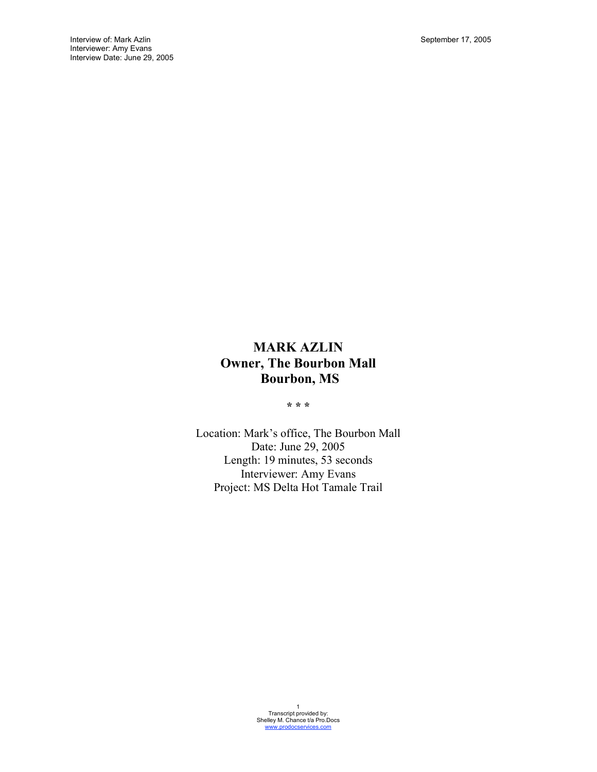# **MARK AZLIN Owner, The Bourbon Mall Bourbon, MS**

**\* \* \***

Location: Mark's office, The Bourbon Mall Date: June 29, 2005 Length: 19 minutes, 53 seconds Interviewer: Amy Evans Project: MS Delta Hot Tamale Trail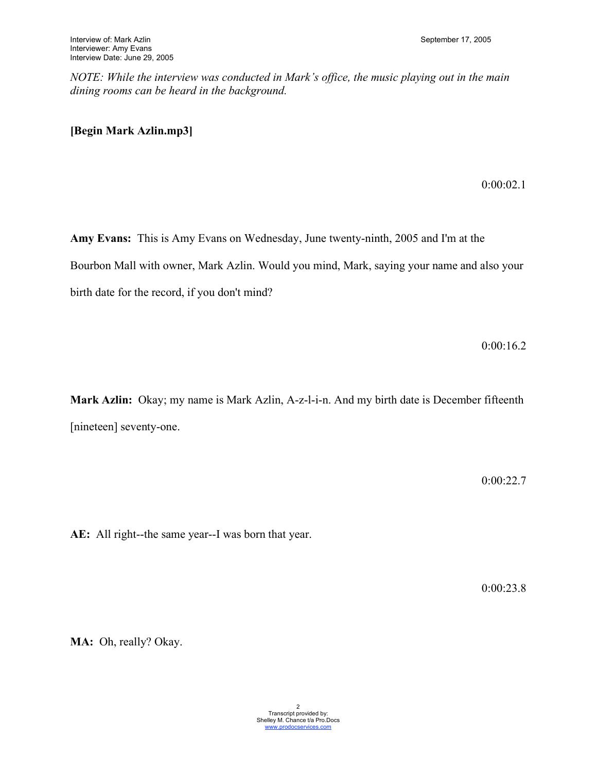*NOTE: While the interview was conducted in Mark's office, the music playing out in the main dining rooms can be heard in the background.* 

# **[Begin Mark Azlin.mp3]**

0:00:02.1

**Amy Evans:** This is Amy Evans on Wednesday, June twenty-ninth, 2005 and I'm at the Bourbon Mall with owner, Mark Azlin. Would you mind, Mark, saying your name and also your birth date for the record, if you don't mind?

0:00:16.2

**Mark Azlin:** Okay; my name is Mark Azlin, A-z-l-i-n. And my birth date is December fifteenth [nineteen] seventy-one.

0:00:22.7

**AE:** All right--the same year--I was born that year.

0:00:23.8

**MA:** Oh, really? Okay.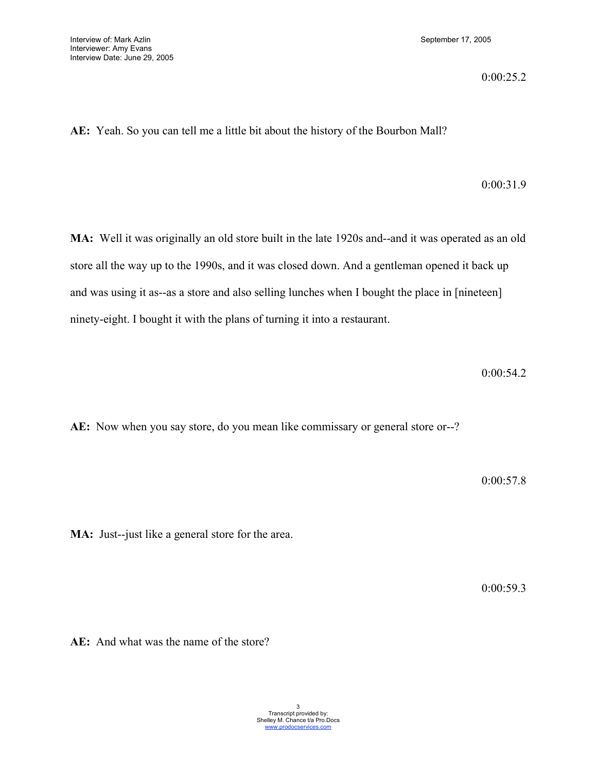0:00:25.2

**AE:** Yeah. So you can tell me a little bit about the history of the Bourbon Mall?

# 0:00:31.9

**MA:** Well it was originally an old store built in the late 1920s and--and it was operated as an old store all the way up to the 1990s, and it was closed down. And a gentleman opened it back up and was using it as--as a store and also selling lunches when I bought the place in [nineteen] ninety-eight. I bought it with the plans of turning it into a restaurant.

0:00:54.2

**AE:** Now when you say store, do you mean like commissary or general store or--?

0:00:57.8

**MA:** Just--just like a general store for the area.

0:00:59.3

**AE:** And what was the name of the store?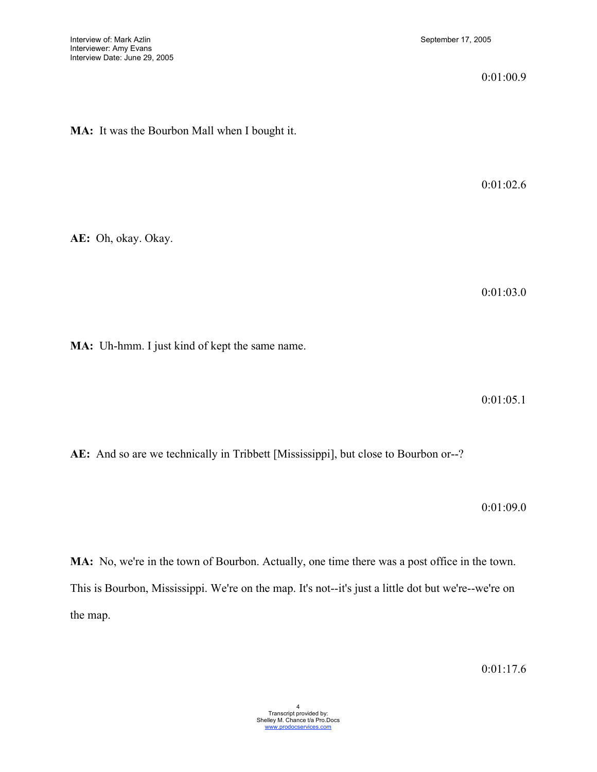### 0:01:00.9

**MA:** It was the Bourbon Mall when I bought it.

0:01:02.6

**AE:** Oh, okay. Okay.

0:01:03.0

**MA:** Uh-hmm. I just kind of kept the same name.

0:01:05.1

**AE:** And so are we technically in Tribbett [Mississippi], but close to Bourbon or--?

0:01:09.0

**MA:** No, we're in the town of Bourbon. Actually, one time there was a post office in the town. This is Bourbon, Mississippi. We're on the map. It's not--it's just a little dot but we're--we're on the map.

0:01:17.6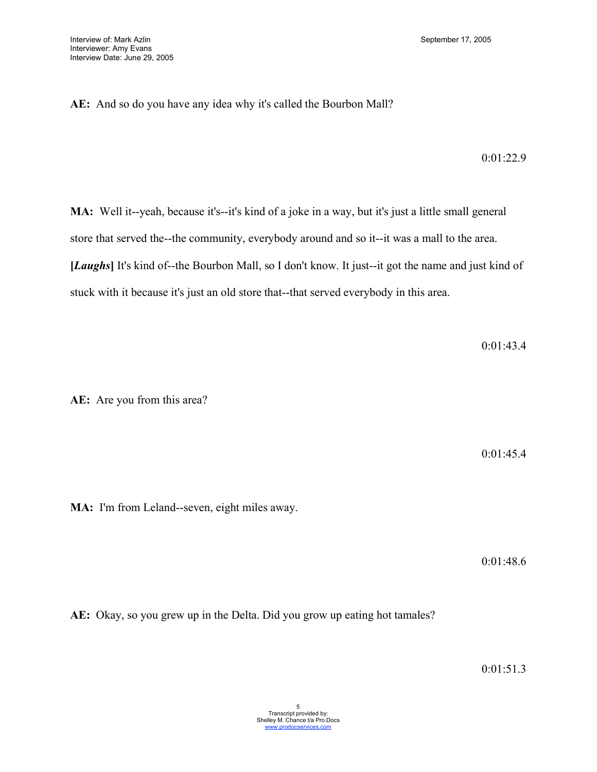# **AE:** And so do you have any idea why it's called the Bourbon Mall?

0:01:22.9

**MA:** Well it--yeah, because it's--it's kind of a joke in a way, but it's just a little small general store that served the--the community, everybody around and so it--it was a mall to the area. **[***Laughs***]** It's kind of--the Bourbon Mall, so I don't know. It just--it got the name and just kind of stuck with it because it's just an old store that--that served everybody in this area.

0:01:43.4

**AE:** Are you from this area?

0:01:45.4

**MA:** I'm from Leland--seven, eight miles away.

0:01:48.6

**AE:** Okay, so you grew up in the Delta. Did you grow up eating hot tamales?

0:01:51.3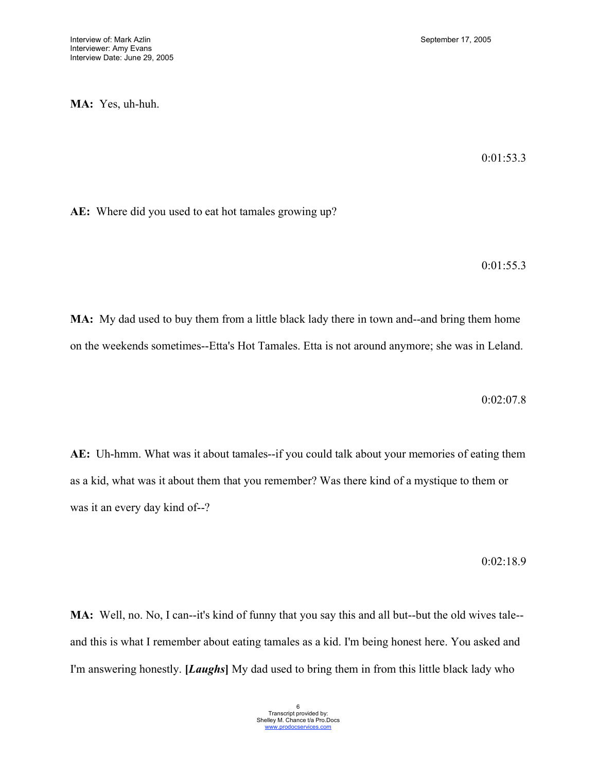**MA:** Yes, uh-huh.

0:01:53.3

**AE:** Where did you used to eat hot tamales growing up?

0:01:55.3

**MA:** My dad used to buy them from a little black lady there in town and--and bring them home on the weekends sometimes--Etta's Hot Tamales. Etta is not around anymore; she was in Leland.

0:02:07.8

**AE:** Uh-hmm. What was it about tamales--if you could talk about your memories of eating them as a kid, what was it about them that you remember? Was there kind of a mystique to them or was it an every day kind of--?

0:02:18.9

**MA:** Well, no. No, I can--it's kind of funny that you say this and all but--but the old wives tale- and this is what I remember about eating tamales as a kid. I'm being honest here. You asked and I'm answering honestly. **[***Laughs***]** My dad used to bring them in from this little black lady who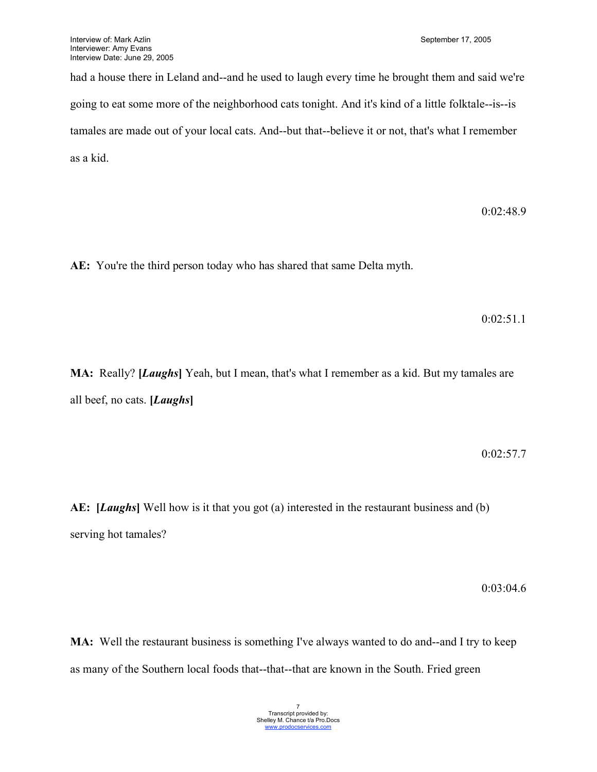had a house there in Leland and--and he used to laugh every time he brought them and said we're going to eat some more of the neighborhood cats tonight. And it's kind of a little folktale--is--is tamales are made out of your local cats. And--but that--believe it or not, that's what I remember as a kid.

0:02:48.9

**AE:** You're the third person today who has shared that same Delta myth.

0:02:51.1

**MA:** Really? **[***Laughs***]** Yeah, but I mean, that's what I remember as a kid. But my tamales are all beef, no cats. **[***Laughs***]**

0:02:57.7

**AE: [***Laughs***]** Well how is it that you got (a) interested in the restaurant business and (b) serving hot tamales?

0:03:04.6

**MA:** Well the restaurant business is something I've always wanted to do and--and I try to keep as many of the Southern local foods that--that--that are known in the South. Fried green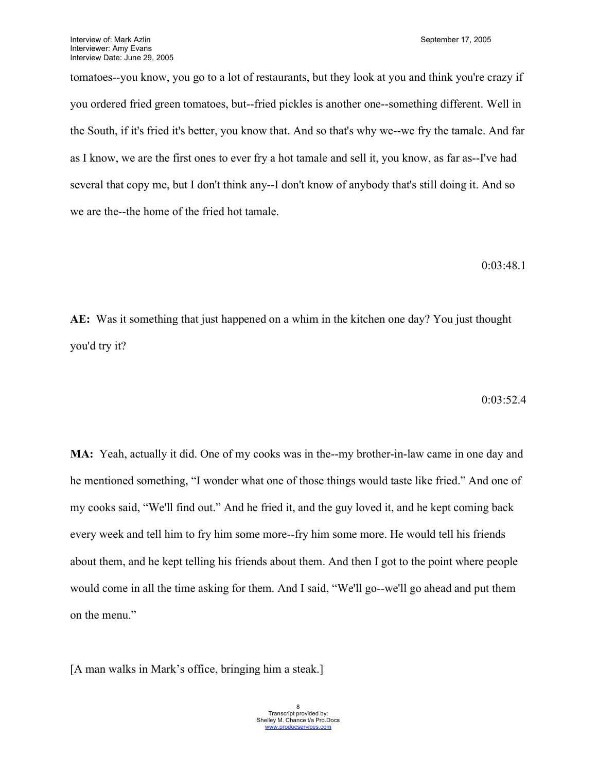tomatoes--you know, you go to a lot of restaurants, but they look at you and think you're crazy if you ordered fried green tomatoes, but--fried pickles is another one--something different. Well in the South, if it's fried it's better, you know that. And so that's why we--we fry the tamale. And far as I know, we are the first ones to ever fry a hot tamale and sell it, you know, as far as--I've had several that copy me, but I don't think any--I don't know of anybody that's still doing it. And so we are the--the home of the fried hot tamale.

0:03:48.1

**AE:** Was it something that just happened on a whim in the kitchen one day? You just thought you'd try it?

0:03:52.4

**MA:** Yeah, actually it did. One of my cooks was in the--my brother-in-law came in one day and he mentioned something, "I wonder what one of those things would taste like fried." And one of my cooks said, "We'll find out." And he fried it, and the guy loved it, and he kept coming back every week and tell him to fry him some more--fry him some more. He would tell his friends about them, and he kept telling his friends about them. And then I got to the point where people would come in all the time asking for them. And I said, "We'll go--we'll go ahead and put them on the menu."

[A man walks in Mark's office, bringing him a steak.]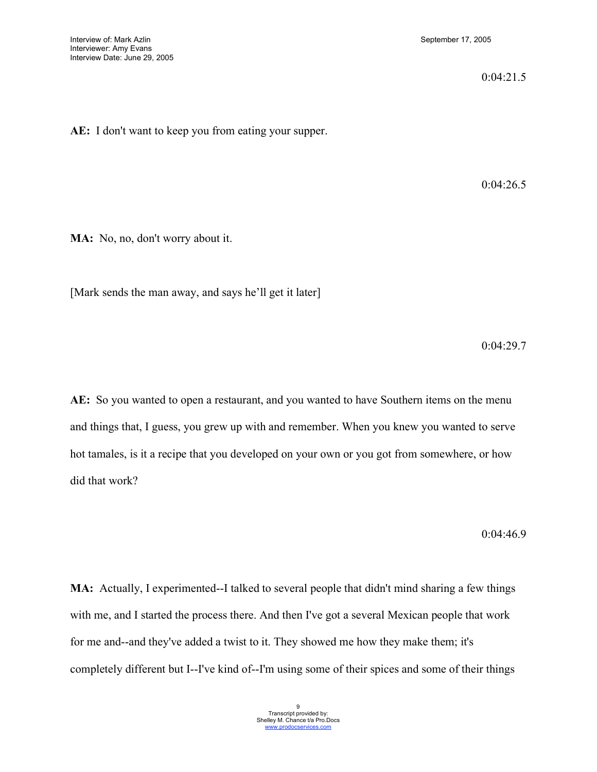0:04:21.5

**AE:** I don't want to keep you from eating your supper.

0:04:26.5

**MA:** No, no, don't worry about it.

[Mark sends the man away, and says he'll get it later]

0:04:29.7

**AE:** So you wanted to open a restaurant, and you wanted to have Southern items on the menu and things that, I guess, you grew up with and remember. When you knew you wanted to serve hot tamales, is it a recipe that you developed on your own or you got from somewhere, or how did that work?

0:04:46.9

**MA:** Actually, I experimented--I talked to several people that didn't mind sharing a few things with me, and I started the process there. And then I've got a several Mexican people that work for me and--and they've added a twist to it. They showed me how they make them; it's completely different but I--I've kind of--I'm using some of their spices and some of their things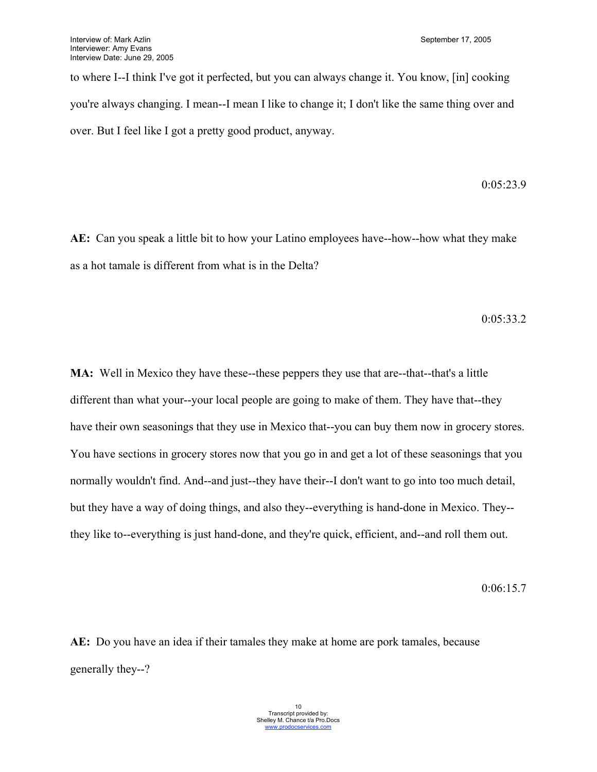to where I--I think I've got it perfected, but you can always change it. You know, [in] cooking you're always changing. I mean--I mean I like to change it; I don't like the same thing over and over. But I feel like I got a pretty good product, anyway.

$$
0.05\rlap{.}^\cdot23.9
$$

**AE:** Can you speak a little bit to how your Latino employees have--how--how what they make as a hot tamale is different from what is in the Delta?

0:05:33.2

**MA:** Well in Mexico they have these--these peppers they use that are--that--that's a little different than what your--your local people are going to make of them. They have that--they have their own seasonings that they use in Mexico that--you can buy them now in grocery stores. You have sections in grocery stores now that you go in and get a lot of these seasonings that you normally wouldn't find. And--and just--they have their--I don't want to go into too much detail, but they have a way of doing things, and also they--everything is hand-done in Mexico. They- they like to--everything is just hand-done, and they're quick, efficient, and--and roll them out.

0:06:15.7

**AE:** Do you have an idea if their tamales they make at home are pork tamales, because generally they--?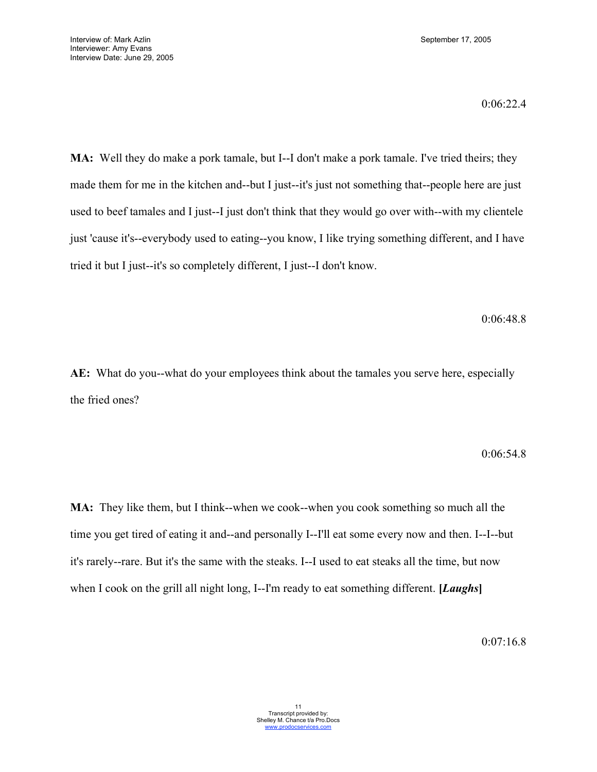0:06:22.4

**MA:** Well they do make a pork tamale, but I--I don't make a pork tamale. I've tried theirs; they made them for me in the kitchen and--but I just--it's just not something that--people here are just used to beef tamales and I just--I just don't think that they would go over with--with my clientele just 'cause it's--everybody used to eating--you know, I like trying something different, and I have tried it but I just--it's so completely different, I just--I don't know.

0:06:48.8

**AE:** What do you--what do your employees think about the tamales you serve here, especially the fried ones?

#### 0:06:54.8

**MA:** They like them, but I think--when we cook--when you cook something so much all the time you get tired of eating it and--and personally I--I'll eat some every now and then. I--I--but it's rarely--rare. But it's the same with the steaks. I--I used to eat steaks all the time, but now when I cook on the grill all night long, I--I'm ready to eat something different. **[***Laughs***]**

0:07:16.8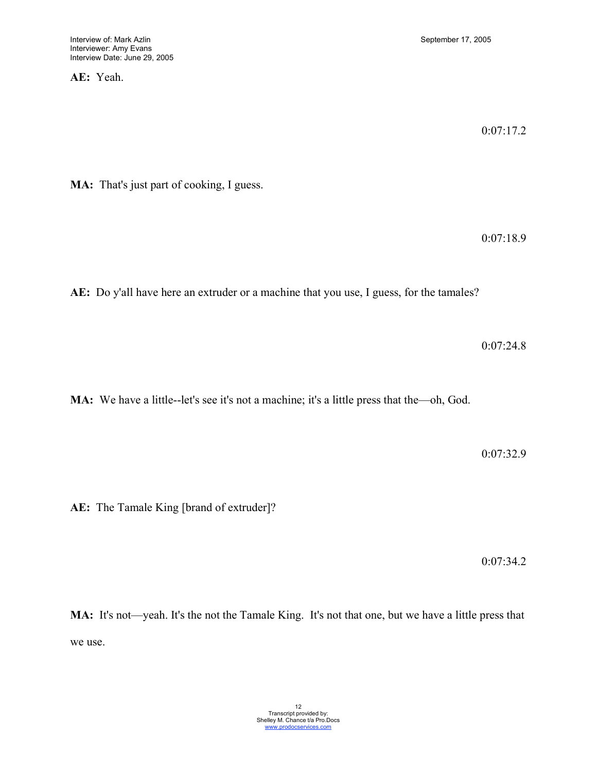**AE:** Yeah.

0:07:17.2

**MA:** That's just part of cooking, I guess.

0:07:18.9

**AE:** Do y'all have here an extruder or a machine that you use, I guess, for the tamales?

0:07:24.8

**MA:** We have a little--let's see it's not a machine; it's a little press that the—oh, God.

0:07:32.9

**AE:** The Tamale King [brand of extruder]?

0:07:34.2

**MA:** It's not—yeah. It's the not the Tamale King. It's not that one, but we have a little press that we use.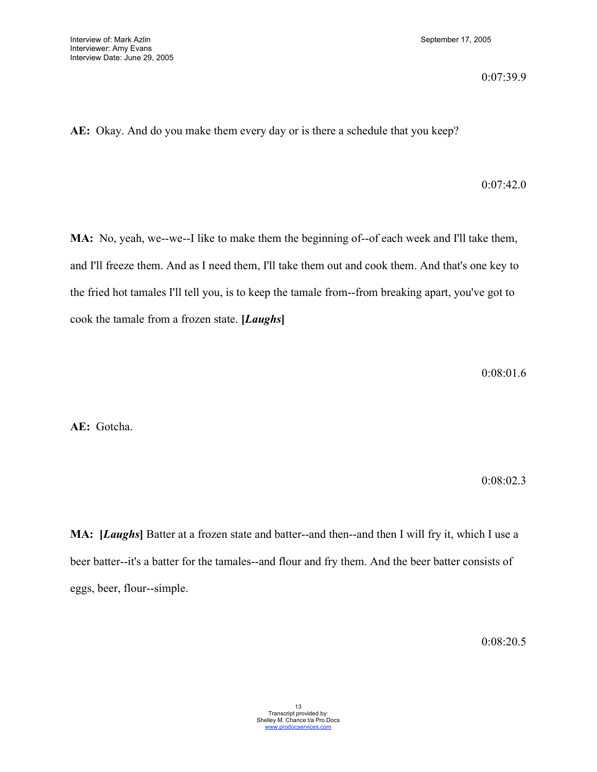0:07:39.9

**AE:** Okay. And do you make them every day or is there a schedule that you keep?

## 0:07:42.0

**MA:** No, yeah, we--we--I like to make them the beginning of--of each week and I'll take them, and I'll freeze them. And as I need them, I'll take them out and cook them. And that's one key to the fried hot tamales I'll tell you, is to keep the tamale from--from breaking apart, you've got to cook the tamale from a frozen state. **[***Laughs***]**

0:08:01.6

**AE:** Gotcha.

0:08:02.3

**MA: [***Laughs***]** Batter at a frozen state and batter--and then--and then I will fry it, which I use a beer batter--it's a batter for the tamales--and flour and fry them. And the beer batter consists of eggs, beer, flour--simple.

0:08:20.5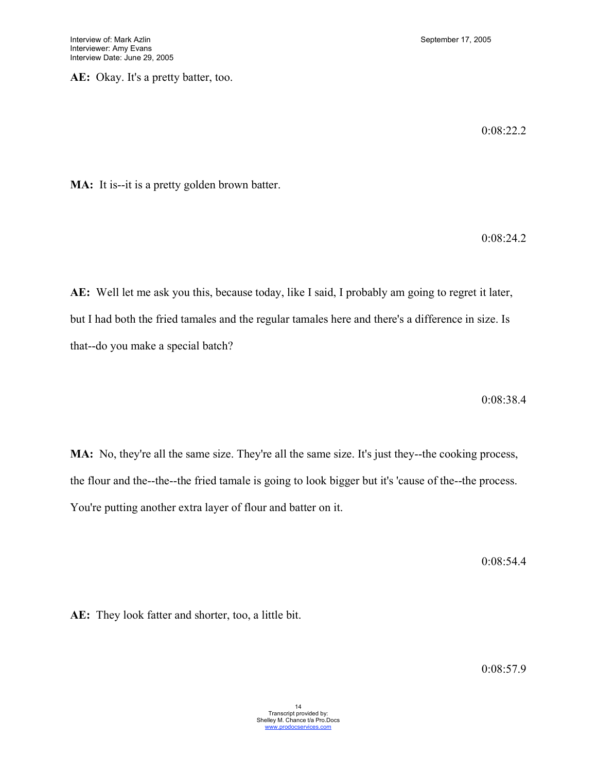**AE:** Okay. It's a pretty batter, too.

0:08:22.2

**MA:** It is--it is a pretty golden brown batter.

0:08:24.2

**AE:** Well let me ask you this, because today, like I said, I probably am going to regret it later, but I had both the fried tamales and the regular tamales here and there's a difference in size. Is that--do you make a special batch?

0:08:38.4

**MA:** No, they're all the same size. They're all the same size. It's just they--the cooking process, the flour and the--the--the fried tamale is going to look bigger but it's 'cause of the--the process. You're putting another extra layer of flour and batter on it.

0:08:54.4

**AE:** They look fatter and shorter, too, a little bit.

0:08:57.9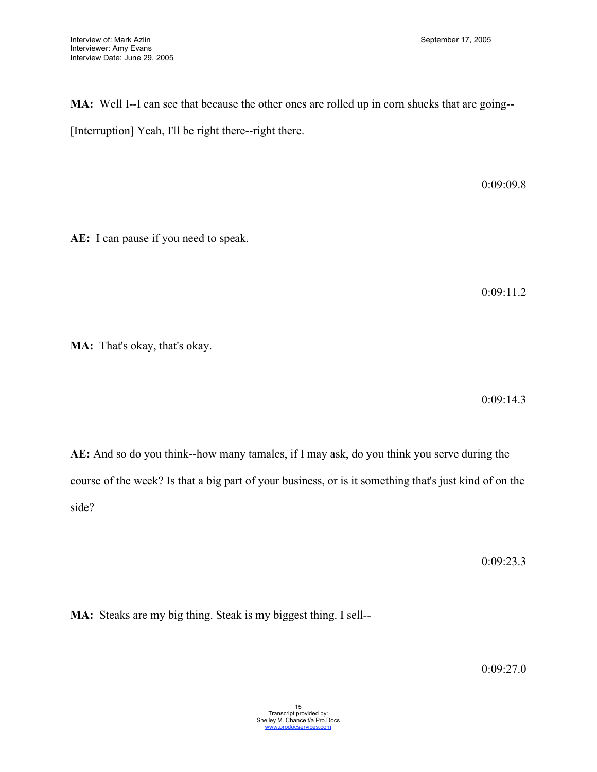**MA:** Well I--I can see that because the other ones are rolled up in corn shucks that are going-- [Interruption] Yeah, I'll be right there--right there.

0:09:09.8

**AE:** I can pause if you need to speak.

0:09:11.2

**MA:** That's okay, that's okay.

0:09:14.3

**AE:** And so do you think--how many tamales, if I may ask, do you think you serve during the course of the week? Is that a big part of your business, or is it something that's just kind of on the side?

0:09:23.3

**MA:** Steaks are my big thing. Steak is my biggest thing. I sell--

0:09:27.0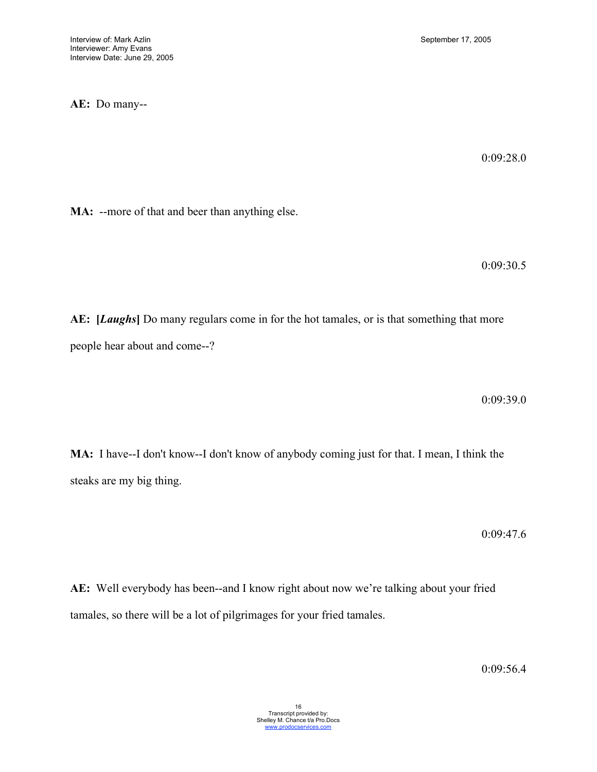## **AE:** Do many--

0:09:28.0

**MA:** --more of that and beer than anything else.

0:09:30.5

**AE: [***Laughs***]** Do many regulars come in for the hot tamales, or is that something that more people hear about and come--?

0:09:39.0

**MA:** I have--I don't know--I don't know of anybody coming just for that. I mean, I think the steaks are my big thing.

0:09:47.6

**AE:** Well everybody has been--and I know right about now we're talking about your fried tamales, so there will be a lot of pilgrimages for your fried tamales.

0:09:56.4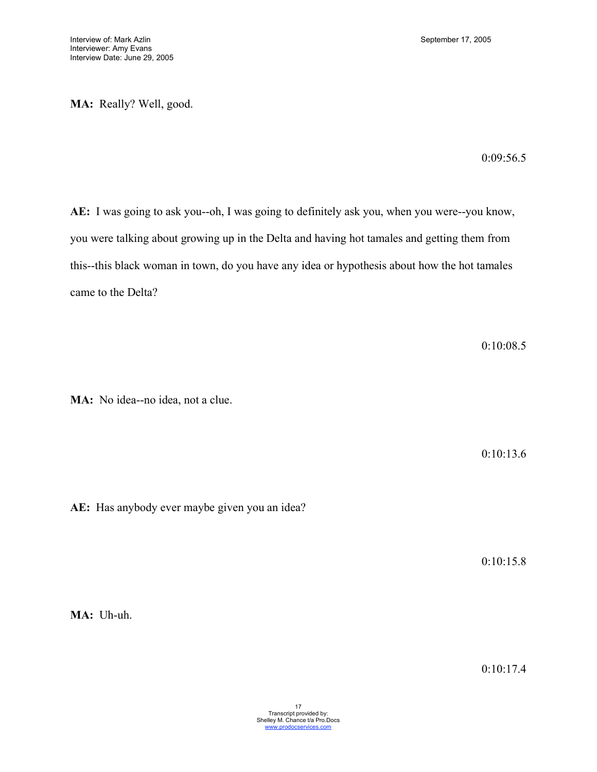**MA:** Really? Well, good.

0:09:56.5

**AE:** I was going to ask you--oh, I was going to definitely ask you, when you were--you know, you were talking about growing up in the Delta and having hot tamales and getting them from this--this black woman in town, do you have any idea or hypothesis about how the hot tamales came to the Delta?

0:10:08.5

**MA:** No idea--no idea, not a clue.

0:10:13.6

**AE:** Has anybody ever maybe given you an idea?

0:10:15.8

**MA:** Uh-uh.

0:10:17.4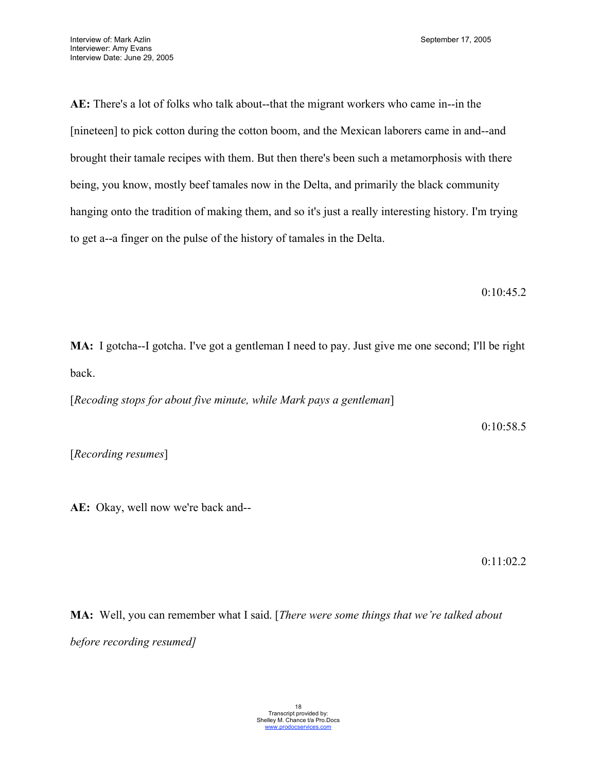**AE:** There's a lot of folks who talk about--that the migrant workers who came in--in the [nineteen] to pick cotton during the cotton boom, and the Mexican laborers came in and--and brought their tamale recipes with them. But then there's been such a metamorphosis with there being, you know, mostly beef tamales now in the Delta, and primarily the black community hanging onto the tradition of making them, and so it's just a really interesting history. I'm trying to get a--a finger on the pulse of the history of tamales in the Delta.

0:10:45.2

**MA:** I gotcha--I gotcha. I've got a gentleman I need to pay. Just give me one second; I'll be right back.

[*Recoding stops for about five minute, while Mark pays a gentleman*]

0:10:58.5

[*Recording resumes*]

**AE:** Okay, well now we're back and--

0:11:02.2

**MA:** Well, you can remember what I said. [*There were some things that we're talked about before recording resumed]*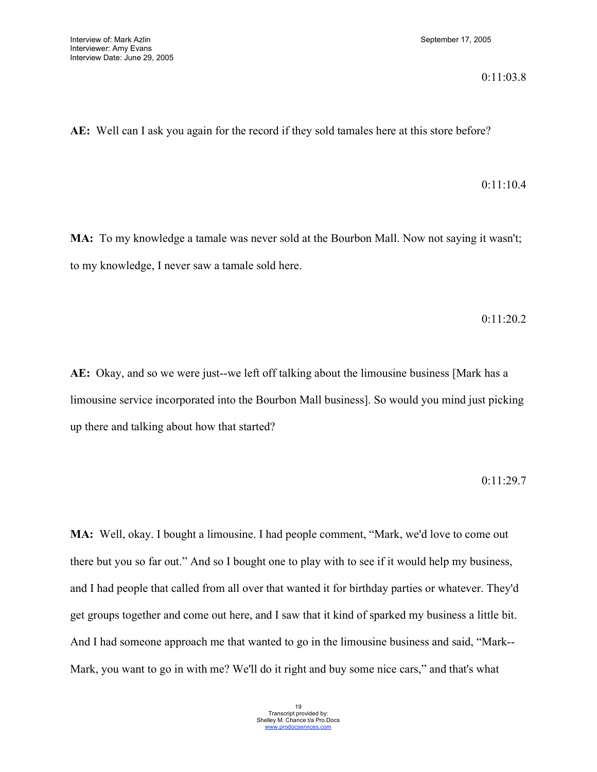#### 0:11:03.8

**AE:** Well can I ask you again for the record if they sold tamales here at this store before?

#### 0:11:10.4

**MA:** To my knowledge a tamale was never sold at the Bourbon Mall. Now not saying it wasn't; to my knowledge, I never saw a tamale sold here.

0:11:20.2

**AE:** Okay, and so we were just--we left off talking about the limousine business [Mark has a limousine service incorporated into the Bourbon Mall business]. So would you mind just picking up there and talking about how that started?

## 0:11:29.7

**MA:** Well, okay. I bought a limousine. I had people comment, "Mark, we'd love to come out there but you so far out." And so I bought one to play with to see if it would help my business, and I had people that called from all over that wanted it for birthday parties or whatever. They'd get groups together and come out here, and I saw that it kind of sparked my business a little bit. And I had someone approach me that wanted to go in the limousine business and said, "Mark-- Mark, you want to go in with me? We'll do it right and buy some nice cars," and that's what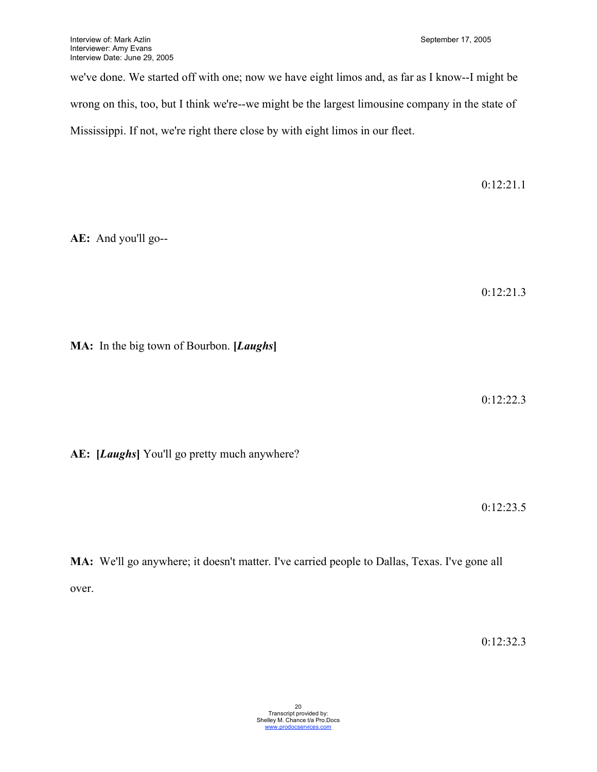we've done. We started off with one; now we have eight limos and, as far as I know--I might be wrong on this, too, but I think we're--we might be the largest limousine company in the state of Mississippi. If not, we're right there close by with eight limos in our fleet.

0:12:21.1

**AE:** And you'll go--

0:12:21.3

**MA:** In the big town of Bourbon. **[***Laughs***]**

0:12:22.3

**AE: [***Laughs***]** You'll go pretty much anywhere?

0:12:23.5

**MA:** We'll go anywhere; it doesn't matter. I've carried people to Dallas, Texas. I've gone all over.

0:12:32.3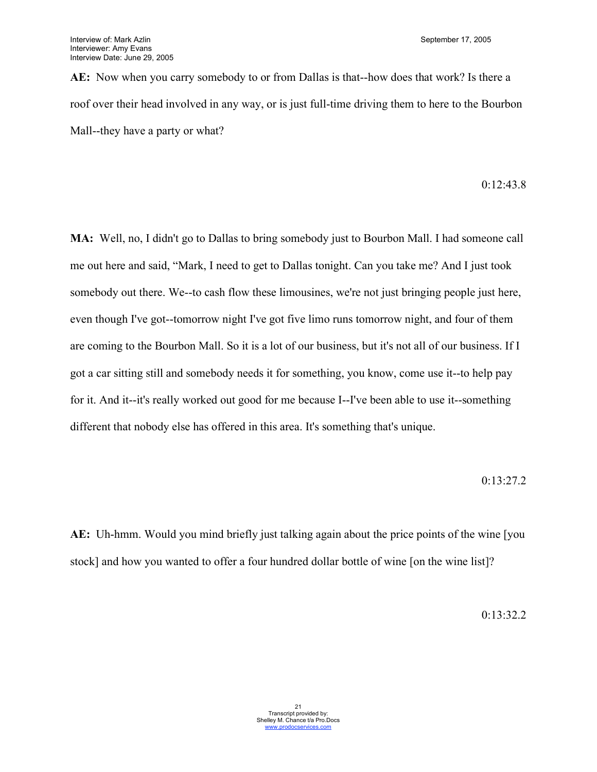**AE:** Now when you carry somebody to or from Dallas is that--how does that work? Is there a roof over their head involved in any way, or is just full-time driving them to here to the Bourbon Mall--they have a party or what?

0:12:43.8

**MA:** Well, no, I didn't go to Dallas to bring somebody just to Bourbon Mall. I had someone call me out here and said, "Mark, I need to get to Dallas tonight. Can you take me? And I just took somebody out there. We--to cash flow these limousines, we're not just bringing people just here, even though I've got--tomorrow night I've got five limo runs tomorrow night, and four of them are coming to the Bourbon Mall. So it is a lot of our business, but it's not all of our business. If I got a car sitting still and somebody needs it for something, you know, come use it--to help pay for it. And it--it's really worked out good for me because I--I've been able to use it--something different that nobody else has offered in this area. It's something that's unique.

0:13:27.2

**AE:** Uh-hmm. Would you mind briefly just talking again about the price points of the wine [you stock] and how you wanted to offer a four hundred dollar bottle of wine [on the wine list]?

0:13:32.2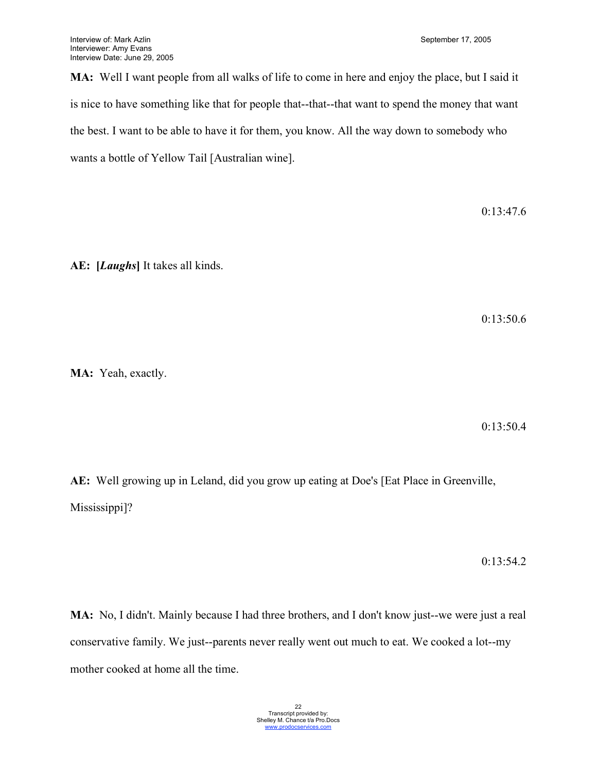**MA:** Well I want people from all walks of life to come in here and enjoy the place, but I said it is nice to have something like that for people that--that--that want to spend the money that want the best. I want to be able to have it for them, you know. All the way down to somebody who wants a bottle of Yellow Tail [Australian wine].

0:13:47.6

**AE: [***Laughs***]** It takes all kinds.

0:13:50.6

**MA:** Yeah, exactly.

0:13:50.4

**AE:** Well growing up in Leland, did you grow up eating at Doe's [Eat Place in Greenville, Mississippi]?

0:13:54.2

**MA:** No, I didn't. Mainly because I had three brothers, and I don't know just--we were just a real conservative family. We just--parents never really went out much to eat. We cooked a lot--my mother cooked at home all the time.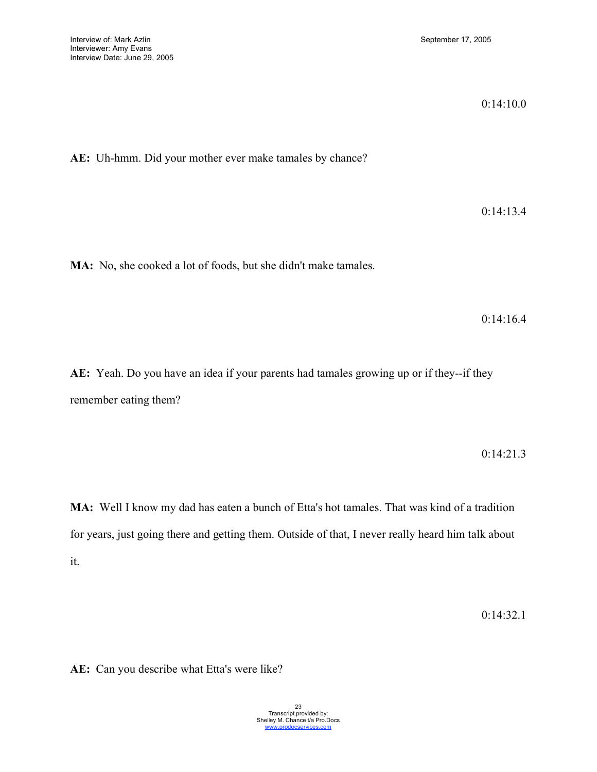0:14:10.0

**AE:** Uh-hmm. Did your mother ever make tamales by chance?

0:14:13.4

**MA:** No, she cooked a lot of foods, but she didn't make tamales.

0:14:16.4

**AE:** Yeah. Do you have an idea if your parents had tamales growing up or if they--if they remember eating them?

0:14:21.3

**MA:** Well I know my dad has eaten a bunch of Etta's hot tamales. That was kind of a tradition for years, just going there and getting them. Outside of that, I never really heard him talk about it.

0:14:32.1

**AE:** Can you describe what Etta's were like?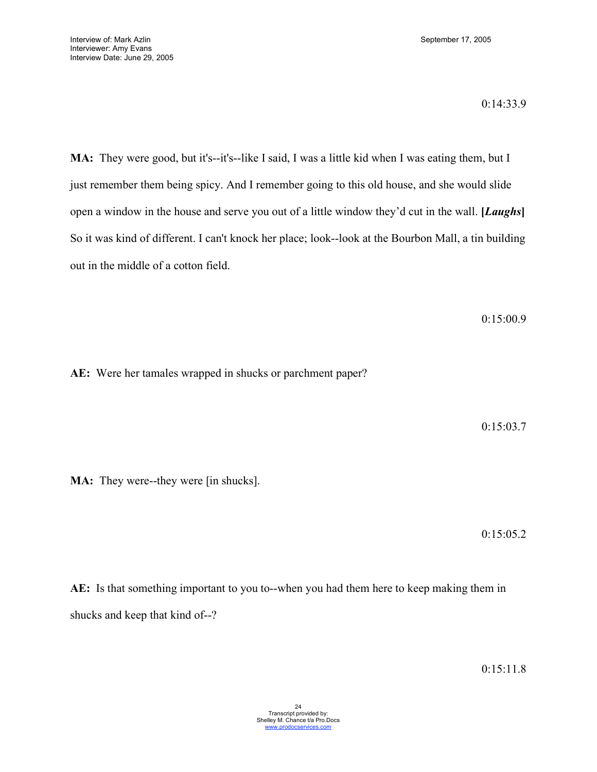MA: They were good, but it's--it's--like I said, I was a little kid when I was eating them, but I just remember them being spicy. And I remember going to this old house, and she would slide open a window in the house and serve you out of a little window they'd cut in the wall. **[***Laughs***]** So it was kind of different. I can't knock her place; look--look at the Bourbon Mall, a tin building out in the middle of a cotton field.

0:15:00.9

**AE:** Were her tamales wrapped in shucks or parchment paper?

0:15:03.7

**MA:** They were--they were [in shucks].

0:15:05.2

**AE:** Is that something important to you to--when you had them here to keep making them in shucks and keep that kind of--?

0:15:11.8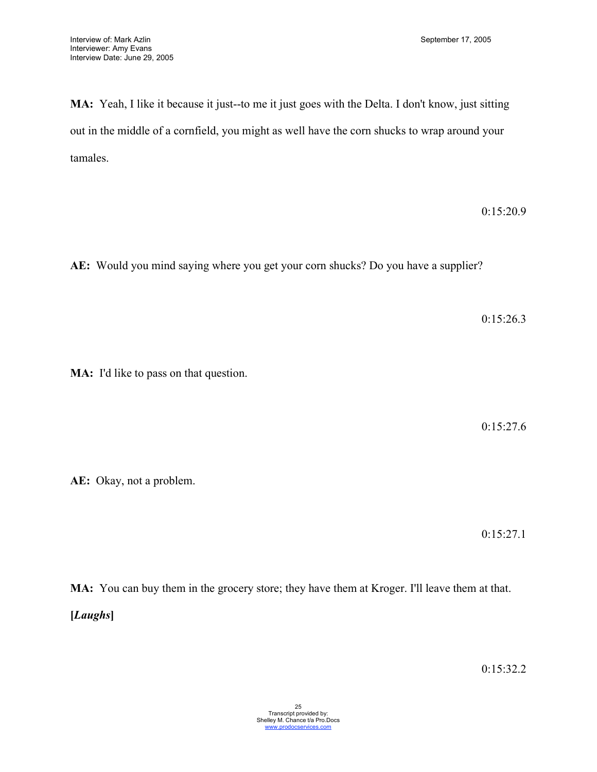**MA:** Yeah, I like it because it just--to me it just goes with the Delta. I don't know, just sitting out in the middle of a cornfield, you might as well have the corn shucks to wrap around your tamales.

0:15:20.9

**AE:** Would you mind saying where you get your corn shucks? Do you have a supplier?

0:15:26.3

**MA:** I'd like to pass on that question.

0:15:27.6

**AE:** Okay, not a problem.

0:15:27.1

**MA:** You can buy them in the grocery store; they have them at Kroger. I'll leave them at that. **[***Laughs***]**

0:15:32.2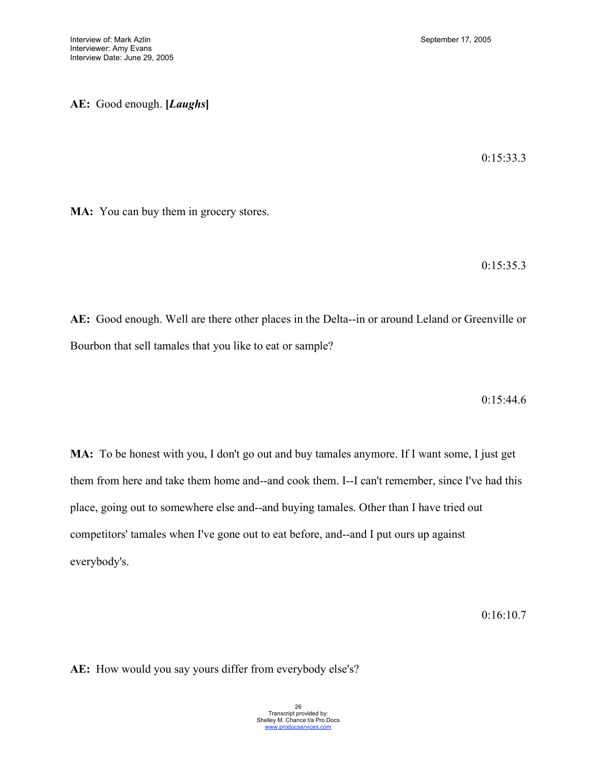**AE:** Good enough. **[***Laughs***]**

0:15:33.3

**MA:** You can buy them in grocery stores.

0:15:35.3

**AE:** Good enough. Well are there other places in the Delta--in or around Leland or Greenville or Bourbon that sell tamales that you like to eat or sample?

0:15:44.6

**MA:** To be honest with you, I don't go out and buy tamales anymore. If I want some, I just get them from here and take them home and--and cook them. I--I can't remember, since I've had this place, going out to somewhere else and--and buying tamales. Other than I have tried out competitors' tamales when I've gone out to eat before, and--and I put ours up against everybody's.

0:16:10.7

**AE:** How would you say yours differ from everybody else's?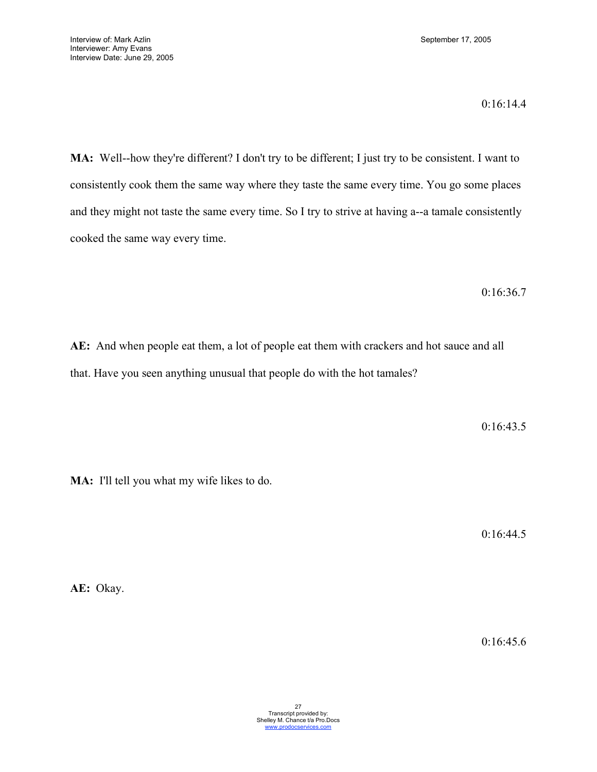0:16:14.4

**MA:** Well--how they're different? I don't try to be different; I just try to be consistent. I want to consistently cook them the same way where they taste the same every time. You go some places and they might not taste the same every time. So I try to strive at having a--a tamale consistently cooked the same way every time.

0:16:36.7

**AE:** And when people eat them, a lot of people eat them with crackers and hot sauce and all that. Have you seen anything unusual that people do with the hot tamales?

0:16:43.5

**MA:** I'll tell you what my wife likes to do.

0:16:44.5

**AE:** Okay.

0:16:45.6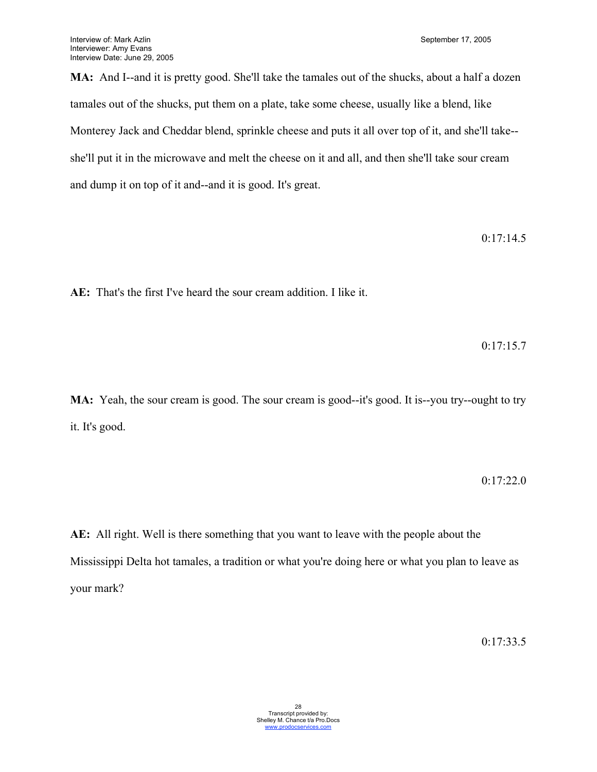**MA:** And I--and it is pretty good. She'll take the tamales out of the shucks, about a half a dozen tamales out of the shucks, put them on a plate, take some cheese, usually like a blend, like Monterey Jack and Cheddar blend, sprinkle cheese and puts it all over top of it, and she'll take- she'll put it in the microwave and melt the cheese on it and all, and then she'll take sour cream and dump it on top of it and--and it is good. It's great.

0:17:14.5

**AE:** That's the first I've heard the sour cream addition. I like it.

0:17:15.7

**MA:** Yeah, the sour cream is good. The sour cream is good--it's good. It is--you try--ought to try it. It's good.

0:17:22.0

**AE:** All right. Well is there something that you want to leave with the people about the Mississippi Delta hot tamales, a tradition or what you're doing here or what you plan to leave as your mark?

0:17:33.5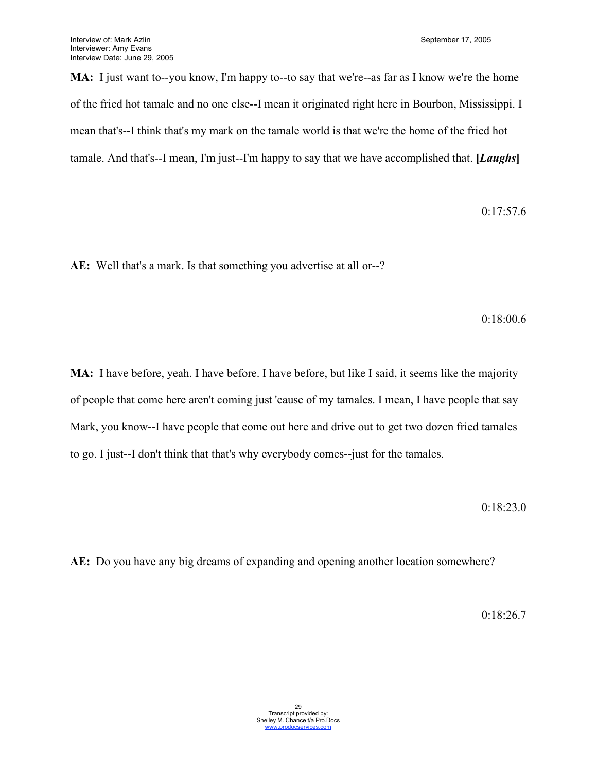**MA:** I just want to--you know, I'm happy to--to say that we're--as far as I know we're the home of the fried hot tamale and no one else--I mean it originated right here in Bourbon, Mississippi. I mean that's--I think that's my mark on the tamale world is that we're the home of the fried hot tamale. And that's--I mean, I'm just--I'm happy to say that we have accomplished that. **[***Laughs***]**

0:17:57.6

**AE:** Well that's a mark. Is that something you advertise at all or--?

0:18:00.6

**MA:** I have before, yeah. I have before. I have before, but like I said, it seems like the majority of people that come here aren't coming just 'cause of my tamales. I mean, I have people that say Mark, you know--I have people that come out here and drive out to get two dozen fried tamales to go. I just--I don't think that that's why everybody comes--just for the tamales.

0:18:23.0

**AE:** Do you have any big dreams of expanding and opening another location somewhere?

0:18:26.7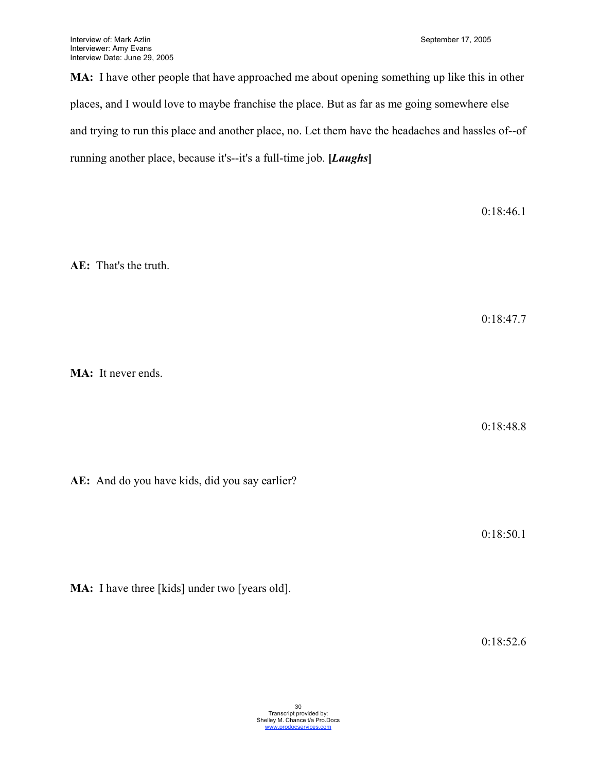**MA:** I have other people that have approached me about opening something up like this in other places, and I would love to maybe franchise the place. But as far as me going somewhere else and trying to run this place and another place, no. Let them have the headaches and hassles of--of running another place, because it's--it's a full-time job. **[***Laughs***]**

0:18:46.1

**AE:** That's the truth.

0:18:47.7

**MA:** It never ends.

0:18:48.8

**AE:** And do you have kids, did you say earlier?

0:18:50.1

**MA:** I have three [kids] under two [years old].

0:18:52.6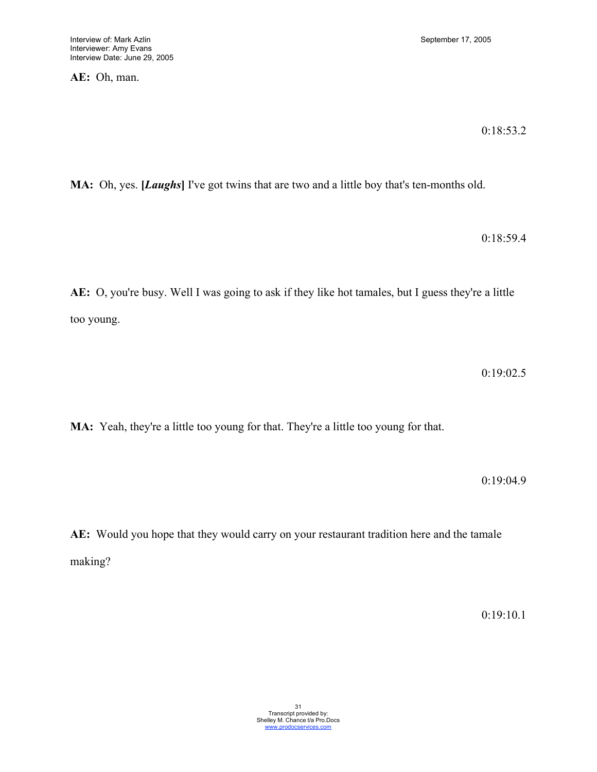**AE:** Oh, man.

0:18:53.2

**MA:** Oh, yes. **[***Laughs***]** I've got twins that are two and a little boy that's ten-months old.

0:18:59.4

**AE:** O, you're busy. Well I was going to ask if they like hot tamales, but I guess they're a little too young.

0:19:02.5

**MA:** Yeah, they're a little too young for that. They're a little too young for that.

0:19:04.9

**AE:** Would you hope that they would carry on your restaurant tradition here and the tamale making?

0:19:10.1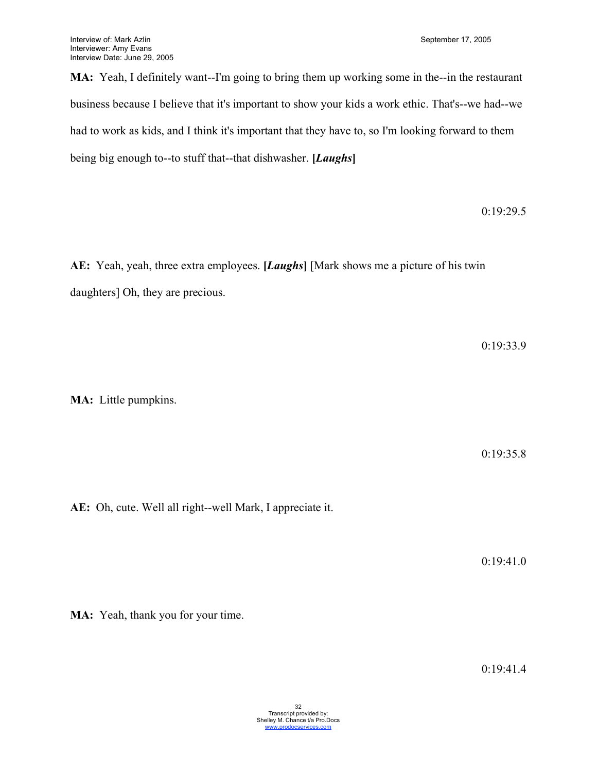**MA:** Yeah, I definitely want--I'm going to bring them up working some in the--in the restaurant business because I believe that it's important to show your kids a work ethic. That's--we had--we had to work as kids, and I think it's important that they have to, so I'm looking forward to them being big enough to--to stuff that--that dishwasher. **[***Laughs***]**

0:19:29.5

**AE:** Yeah, yeah, three extra employees. **[***Laughs***]** [Mark shows me a picture of his twin daughters] Oh, they are precious.

0:19:33.9

**MA:** Little pumpkins.

0:19:35.8

**AE:** Oh, cute. Well all right--well Mark, I appreciate it.

0:19:41.0

**MA:** Yeah, thank you for your time.

0:19:41.4